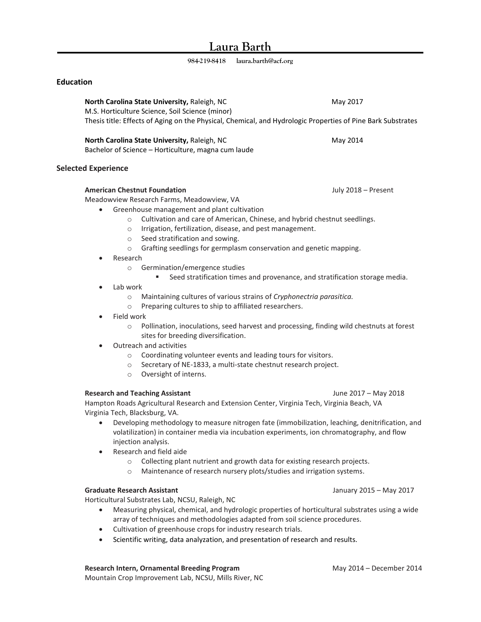# **Laura Barth**

**984-219-8418 laura.barth@acf.org**

# **Education**

**North Carolina State University, Raleigh, NC May 2017** May 2017 M.S. Horticulture Science, Soil Science (minor) Thesis title: Effects of Aging on the Physical, Chemical, and Hydrologic Properties of Pine Bark Substrates

**North Carolina State University, Raleigh, NC May 2014 May 2014** Bachelor of Science – Horticulture, magna cum laude

## **Selected Experience**

# **American Chestnut Foundation** July 2018 – Present

Meadowview Research Farms, Meadowview, VA

- Greenhouse management and plant cultivation
	- o Cultivation and care of American, Chinese, and hybrid chestnut seedlings.
	- o Irrigation, fertilization, disease, and pest management.
	- o Seed stratification and sowing.
	- o Grafting seedlings for germplasm conservation and genetic mapping.
- Research
	- o Germination/emergence studies
		- Seed stratification times and provenance, and stratification storage media.
- Lab work
	- o Maintaining cultures of various strains of *Cryphonectria parasitica.*
	- o Preparing cultures to ship to affiliated researchers.
- Field work
	- o Pollination, inoculations, seed harvest and processing, finding wild chestnuts at forest sites for breeding diversification.
- Outreach and activities
	- o Coordinating volunteer events and leading tours for visitors.
	- o Secretary of NE-1833, a multi-state chestnut research project.
	- o Oversight of interns.

#### **Research and Teaching Assistant** June 2017 – May 2018

Hampton Roads Agricultural Research and Extension Center, Virginia Tech, Virginia Beach, VA Virginia Tech, Blacksburg, VA.

- Developing methodology to measure nitrogen fate (immobilization, leaching, denitrification, and volatilization) in container media via incubation experiments, ion chromatography, and flow injection analysis.
- Research and field aide
	- o Collecting plant nutrient and growth data for existing research projects.
	- o Maintenance of research nursery plots/studies and irrigation systems.

#### **Graduate Research Assistant** January 2015 – May 2017

Horticultural Substrates Lab, NCSU, Raleigh, NC

- Measuring physical, chemical, and hydrologic properties of horticultural substrates using a wide array of techniques and methodologies adapted from soil science procedures.
- Cultivation of greenhouse crops for industry research trials.
- Scientific writing, data analyzation, and presentation of research and results.

### **Research Intern, Ornamental Breeding Program May 2014 – December 2014**

Mountain Crop Improvement Lab, NCSU, Mills River, NC